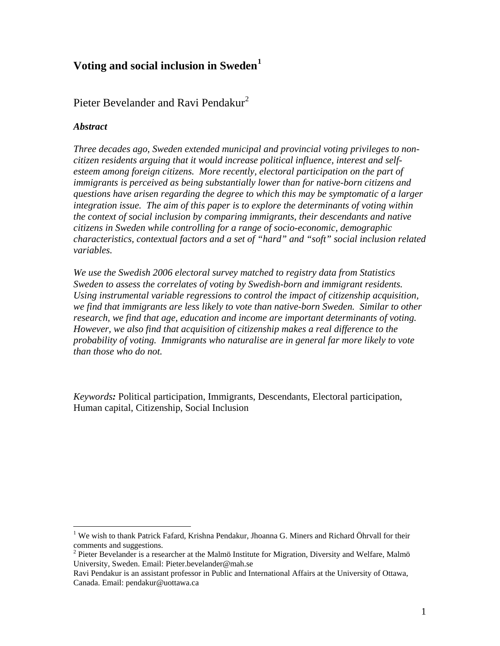# **Voting and social inclusion in Sweden[1](#page-0-0)**

# Pieter Bevelander and Ravi Pendakur<sup>[2](#page-0-1)</sup>

# *Abstract*

 $\overline{a}$ 

*Three decades ago, Sweden extended municipal and provincial voting privileges to noncitizen residents arguing that it would increase political influence, interest and selfesteem among foreign citizens. More recently, electoral participation on the part of immigrants is perceived as being substantially lower than for native-born citizens and questions have arisen regarding the degree to which this may be symptomatic of a larger integration issue. The aim of this paper is to explore the determinants of voting within the context of social inclusion by comparing immigrants, their descendants and native citizens in Sweden while controlling for a range of socio-economic, demographic characteristics, contextual factors and a set of "hard" and "soft" social inclusion related variables.* 

*We use the Swedish 2006 electoral survey matched to registry data from Statistics Sweden to assess the correlates of voting by Swedish-born and immigrant residents. Using instrumental variable regressions to control the impact of citizenship acquisition, we find that immigrants are less likely to vote than native-born Sweden. Similar to other research, we find that age, education and income are important determinants of voting. However, we also find that acquisition of citizenship makes a real difference to the probability of voting. Immigrants who naturalise are in general far more likely to vote than those who do not.* 

*Keywords:* Political participation, Immigrants, Descendants, Electoral participation, Human capital, Citizenship, Social Inclusion

<span id="page-0-0"></span><sup>&</sup>lt;sup>1</sup> We wish to thank Patrick Fafard, Krishna Pendakur, Jhoanna G. Miners and Richard Öhrvall for their comments and suggestions.

<span id="page-0-1"></span><sup>&</sup>lt;sup>2</sup> Pieter Bevelander is a researcher at the Malmö Institute for Migration, Diversity and Welfare, Malmö University, Sweden. Email: Pieter.bevelander@mah.se

Ravi Pendakur is an assistant professor in Public and International Affairs at the University of Ottawa, Canada. Email: pendakur@uottawa.ca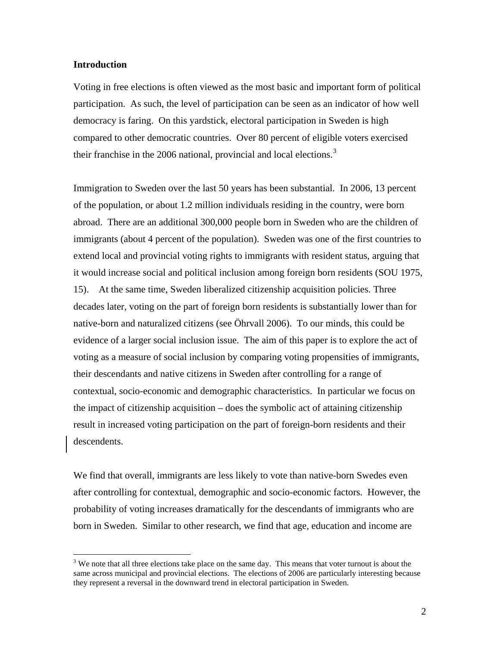# **Introduction**

 $\overline{a}$ 

Voting in free elections is often viewed as the most basic and important form of political participation. As such, the level of participation can be seen as an indicator of how well democracy is faring. On this yardstick, electoral participation in Sweden is high compared to other democratic countries. Over 80 percent of eligible voters exercised their franchise in the 2006 national, provincial and local elections.<sup>[3](#page-1-0)</sup>

Immigration to Sweden over the last 50 years has been substantial. In 2006, 13 percent of the population, or about 1.2 million individuals residing in the country, were born abroad. There are an additional 300,000 people born in Sweden who are the children of immigrants (about 4 percent of the population). Sweden was one of the first countries to extend local and provincial voting rights to immigrants with resident status, arguing that it would increase social and political inclusion among foreign born residents (SOU 1975, 15). At the same time, Sweden liberalized citizenship acquisition policies. Three decades later, voting on the part of foreign born residents is substantially lower than for native-born and naturalized citizens (see Öhrvall 2006). To our minds, this could be evidence of a larger social inclusion issue. The aim of this paper is to explore the act of voting as a measure of social inclusion by comparing voting propensities of immigrants, their descendants and native citizens in Sweden after controlling for a range of contextual, socio-economic and demographic characteristics. In particular we focus on the impact of citizenship acquisition – does the symbolic act of attaining citizenship result in increased voting participation on the part of foreign-born residents and their descendents.

We find that overall, immigrants are less likely to vote than native-born Swedes even after controlling for contextual, demographic and socio-economic factors. However, the probability of voting increases dramatically for the descendants of immigrants who are born in Sweden. Similar to other research, we find that age, education and income are

<span id="page-1-0"></span> $3$  We note that all three elections take place on the same day. This means that voter turnout is about the same across municipal and provincial elections. The elections of 2006 are particularly interesting because they represent a reversal in the downward trend in electoral participation in Sweden.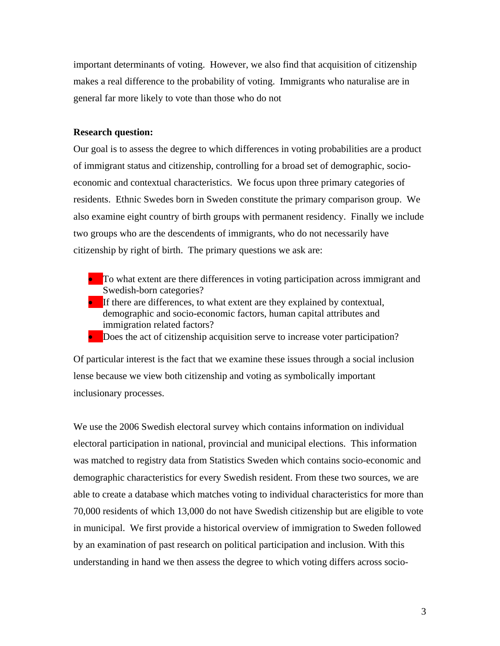important determinants of voting. However, we also find that acquisition of citizenship makes a real difference to the probability of voting. Immigrants who naturalise are in general far more likely to vote than those who do not

# **Research question:**

Our goal is to assess the degree to which differences in voting probabilities are a product of immigrant status and citizenship, controlling for a broad set of demographic, socioeconomic and contextual characteristics. We focus upon three primary categories of residents. Ethnic Swedes born in Sweden constitute the primary comparison group. We also examine eight country of birth groups with permanent residency. Finally we include two groups who are the descendents of immigrants, who do not necessarily have citizenship by right of birth. The primary questions we ask are:

- To what extent are there differences in voting participation across immigrant and Swedish-born categories?
- $\bullet$  If there are differences, to what extent are they explained by contextual, demographic and socio-economic factors, human capital attributes and immigration related factors?
- Does the act of citizenship acquisition serve to increase voter participation?

Of particular interest is the fact that we examine these issues through a social inclusion lense because we view both citizenship and voting as symbolically important inclusionary processes.

We use the 2006 Swedish electoral survey which contains information on individual electoral participation in national, provincial and municipal elections. This information was matched to registry data from Statistics Sweden which contains socio-economic and demographic characteristics for every Swedish resident. From these two sources, we are able to create a database which matches voting to individual characteristics for more than 70,000 residents of which 13,000 do not have Swedish citizenship but are eligible to vote in municipal. We first provide a historical overview of immigration to Sweden followed by an examination of past research on political participation and inclusion. With this understanding in hand we then assess the degree to which voting differs across socio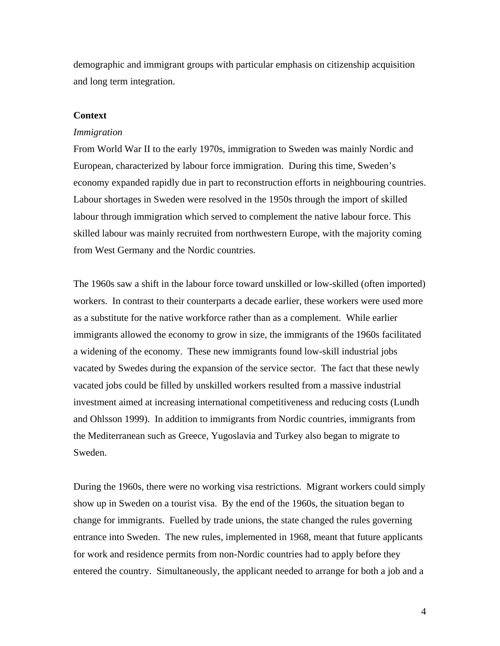demographic and immigrant groups with particular emphasis on citizenship acquisition and long term integration.

#### **Context**

#### *Immigration*

From World War II to the early 1970s, immigration to Sweden was mainly Nordic and European, characterized by labour force immigration. During this time, Sweden's economy expanded rapidly due in part to reconstruction efforts in neighbouring countries. Labour shortages in Sweden were resolved in the 1950s through the import of skilled labour through immigration which served to complement the native labour force. This skilled labour was mainly recruited from northwestern Europe, with the majority coming from West Germany and the Nordic countries.

The 1960s saw a shift in the labour force toward unskilled or low-skilled (often imported) workers. In contrast to their counterparts a decade earlier, these workers were used more as a substitute for the native workforce rather than as a complement. While earlier immigrants allowed the economy to grow in size, the immigrants of the 1960s facilitated a widening of the economy. These new immigrants found low-skill industrial jobs vacated by Swedes during the expansion of the service sector. The fact that these newly vacated jobs could be filled by unskilled workers resulted from a massive industrial investment aimed at increasing international competitiveness and reducing costs (Lundh and Ohlsson 1999). In addition to immigrants from Nordic countries, immigrants from the Mediterranean such as Greece, Yugoslavia and Turkey also began to migrate to Sweden.

During the 1960s, there were no working visa restrictions. Migrant workers could simply show up in Sweden on a tourist visa. By the end of the 1960s, the situation began to change for immigrants. Fuelled by trade unions, the state changed the rules governing entrance into Sweden. The new rules, implemented in 1968, meant that future applicants for work and residence permits from non-Nordic countries had to apply before they entered the country. Simultaneously, the applicant needed to arrange for both a job and a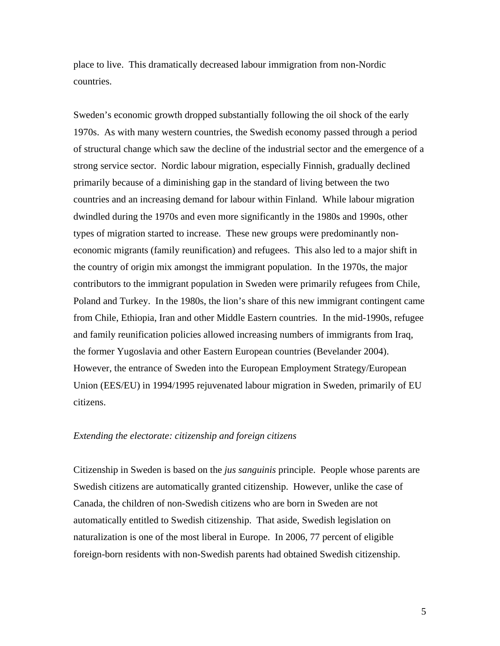place to live. This dramatically decreased labour immigration from non-Nordic countries.

Sweden's economic growth dropped substantially following the oil shock of the early 1970s. As with many western countries, the Swedish economy passed through a period of structural change which saw the decline of the industrial sector and the emergence of a strong service sector. Nordic labour migration, especially Finnish, gradually declined primarily because of a diminishing gap in the standard of living between the two countries and an increasing demand for labour within Finland. While labour migration dwindled during the 1970s and even more significantly in the 1980s and 1990s, other types of migration started to increase. These new groups were predominantly noneconomic migrants (family reunification) and refugees. This also led to a major shift in the country of origin mix amongst the immigrant population. In the 1970s, the major contributors to the immigrant population in Sweden were primarily refugees from Chile, Poland and Turkey. In the 1980s, the lion's share of this new immigrant contingent came from Chile, Ethiopia, Iran and other Middle Eastern countries. In the mid-1990s, refugee and family reunification policies allowed increasing numbers of immigrants from Iraq, the former Yugoslavia and other Eastern European countries (Bevelander 2004). However, the entrance of Sweden into the European Employment Strategy/European Union (EES/EU) in 1994/1995 rejuvenated labour migration in Sweden, primarily of EU citizens.

# *Extending the electorate: citizenship and foreign citizens*

Citizenship in Sweden is based on the *jus sanguinis* principle. People whose parents are Swedish citizens are automatically granted citizenship. However, unlike the case of Canada, the children of non-Swedish citizens who are born in Sweden are not automatically entitled to Swedish citizenship. That aside, Swedish legislation on naturalization is one of the most liberal in Europe. In 2006, 77 percent of eligible foreign-born residents with non-Swedish parents had obtained Swedish citizenship.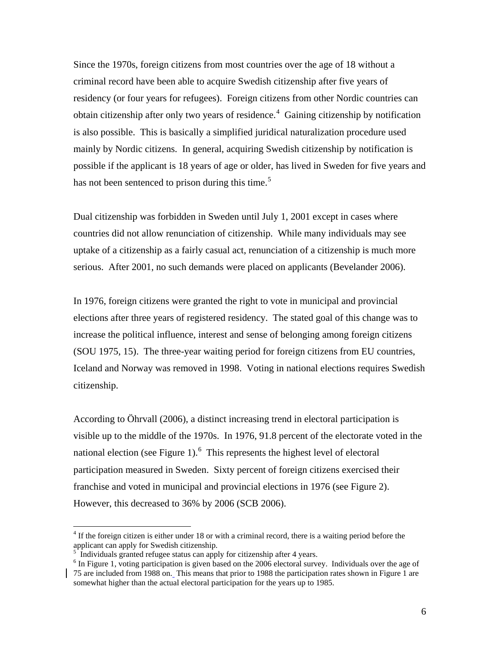Since the 1970s, foreign citizens from most countries over the age of 18 without a criminal record have been able to acquire Swedish citizenship after five years of residency (or four years for refugees). Foreign citizens from other Nordic countries can obtain citizenship after only two years of residence.<sup>[4](#page-5-0)</sup> Gaining citizenship by notification is also possible. This is basically a simplified juridical naturalization procedure used mainly by Nordic citizens. In general, acquiring Swedish citizenship by notification is possible if the applicant is 18 years of age or older, has lived in Sweden for five years and has not been sentenced to prison during this time.<sup>[5](#page-5-1)</sup>

Dual citizenship was forbidden in Sweden until July 1, 2001 except in cases where countries did not allow renunciation of citizenship. While many individuals may see uptake of a citizenship as a fairly casual act, renunciation of a citizenship is much more serious. After 2001, no such demands were placed on applicants (Bevelander 2006).

In 1976, foreign citizens were granted the right to vote in municipal and provincial elections after three years of registered residency. The stated goal of this change was to increase the political influence, interest and sense of belonging among foreign citizens (SOU 1975, 15). The three-year waiting period for foreign citizens from EU countries, Iceland and Norway was removed in 1998. Voting in national elections requires Swedish citizenship.

According to Öhrvall (2006), a distinct increasing trend in electoral participation is visible up to the middle of the 1970s. In 1976, 91.8 percent of the electorate voted in the national election (see Figure 1). $<sup>6</sup>$  $<sup>6</sup>$  $<sup>6</sup>$  This represents the highest level of electoral</sup> participation measured in Sweden. Sixty percent of foreign citizens exercised their franchise and voted in municipal and provincial elections in 1976 (see Figure 2). However, this decreased to 36% by 2006 (SCB 2006).

<span id="page-5-0"></span><sup>&</sup>lt;sup>4</sup> If the foreign citizen is either under 18 or with a criminal record, there is a waiting period before the applicant can apply for Swedish citizenship.

<sup>5</sup> Individuals granted refugee status can apply for citizenship after 4 years.

<span id="page-5-2"></span><span id="page-5-1"></span> $6$  In Figure 1, voting participation is given based on the 2006 electoral survey. Individuals over the age of 75 are included from 1988 on. This means that prior to 1988 the participation rates shown in Figure 1 are somewhat higher than the actual electoral participation for the years up to 1985.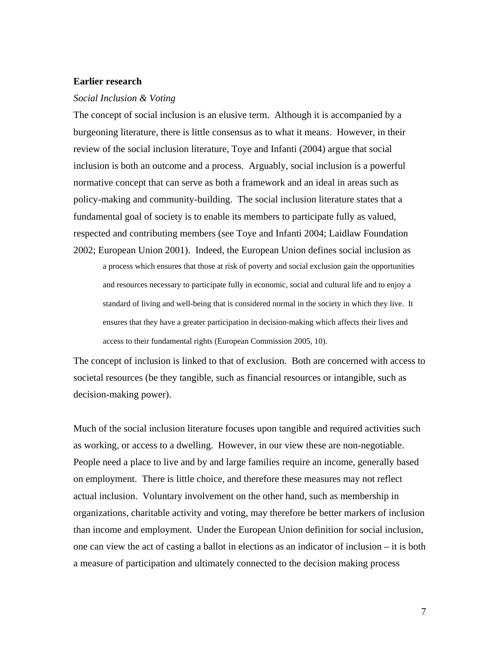### **Earlier research**

### *Social Inclusion & Voting*

The concept of social inclusion is an elusive term. Although it is accompanied by a burgeoning literature, there is little consensus as to what it means. However, in their review of the social inclusion literature, Toye and Infanti (2004) argue that social inclusion is both an outcome and a process. Arguably, social inclusion is a powerful normative concept that can serve as both a framework and an ideal in areas such as policy-making and community-building. The social inclusion literature states that a fundamental goal of society is to enable its members to participate fully as valued, respected and contributing members (see Toye and Infanti 2004; Laidlaw Foundation 2002; European Union 2001). Indeed, the European Union defines social inclusion as

a process which ensures that those at risk of poverty and social exclusion gain the opportunities and resources necessary to participate fully in economic, social and cultural life and to enjoy a standard of living and well-being that is considered normal in the society in which they live. It ensures that they have a greater participation in decision-making which affects their lives and access to their fundamental rights (European Commission 2005, 10).

The concept of inclusion is linked to that of exclusion. Both are concerned with access to societal resources (be they tangible, such as financial resources or intangible, such as decision-making power).

Much of the social inclusion literature focuses upon tangible and required activities such as working, or access to a dwelling. However, in our view these are non-negotiable. People need a place to live and by and large families require an income, generally based on employment. There is little choice, and therefore these measures may not reflect actual inclusion. Voluntary involvement on the other hand, such as membership in organizations, charitable activity and voting, may therefore be better markers of inclusion than income and employment. Under the European Union definition for social inclusion, one can view the act of casting a ballot in elections as an indicator of inclusion – it is both a measure of participation and ultimately connected to the decision making process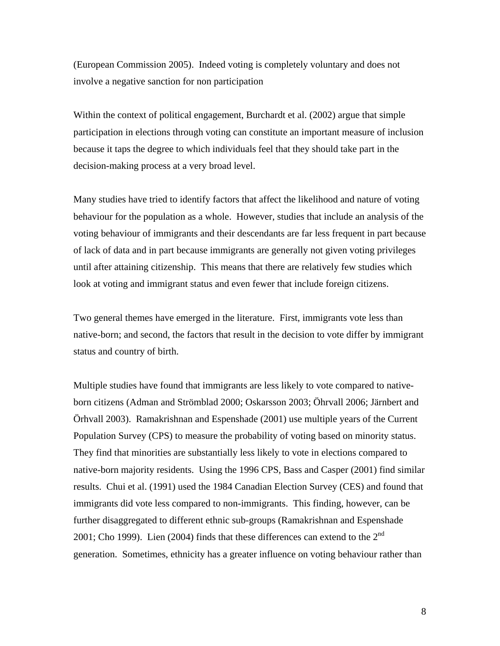(European Commission 2005). Indeed voting is completely voluntary and does not involve a negative sanction for non participation

Within the context of political engagement, Burchardt et al. (2002) argue that simple participation in elections through voting can constitute an important measure of inclusion because it taps the degree to which individuals feel that they should take part in the decision-making process at a very broad level.

Many studies have tried to identify factors that affect the likelihood and nature of voting behaviour for the population as a whole. However, studies that include an analysis of the voting behaviour of immigrants and their descendants are far less frequent in part because of lack of data and in part because immigrants are generally not given voting privileges until after attaining citizenship. This means that there are relatively few studies which look at voting and immigrant status and even fewer that include foreign citizens.

Two general themes have emerged in the literature. First, immigrants vote less than native-born; and second, the factors that result in the decision to vote differ by immigrant status and country of birth.

Multiple studies have found that immigrants are less likely to vote compared to nativeborn citizens (Adman and Strömblad 2000; Oskarsson 2003; Öhrvall 2006; Järnbert and Örhvall 2003). Ramakrishnan and Espenshade (2001) use multiple years of the Current Population Survey (CPS) to measure the probability of voting based on minority status. They find that minorities are substantially less likely to vote in elections compared to native-born majority residents. Using the 1996 CPS, Bass and Casper (2001) find similar results. Chui et al. (1991) used the 1984 Canadian Election Survey (CES) and found that immigrants did vote less compared to non-immigrants. This finding, however, can be further disaggregated to different ethnic sub-groups (Ramakrishnan and Espenshade 2001; Cho 1999). Lien (2004) finds that these differences can extend to the  $2<sup>nd</sup>$ generation. Sometimes, ethnicity has a greater influence on voting behaviour rather than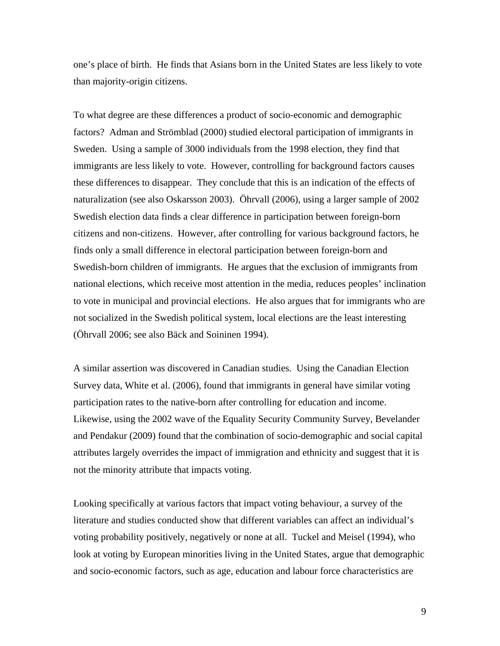one's place of birth. He finds that Asians born in the United States are less likely to vote than majority-origin citizens.

To what degree are these differences a product of socio-economic and demographic factors? Adman and Strömblad (2000) studied electoral participation of immigrants in Sweden. Using a sample of 3000 individuals from the 1998 election, they find that immigrants are less likely to vote. However, controlling for background factors causes these differences to disappear. They conclude that this is an indication of the effects of naturalization (see also Oskarsson 2003). Öhrvall (2006), using a larger sample of 2002 Swedish election data finds a clear difference in participation between foreign-born citizens and non-citizens. However, after controlling for various background factors, he finds only a small difference in electoral participation between foreign-born and Swedish-born children of immigrants. He argues that the exclusion of immigrants from national elections, which receive most attention in the media, reduces peoples' inclination to vote in municipal and provincial elections. He also argues that for immigrants who are not socialized in the Swedish political system, local elections are the least interesting (Öhrvall 2006; see also Bäck and Soininen 1994).

A similar assertion was discovered in Canadian studies. Using the Canadian Election Survey data, White et al. (2006), found that immigrants in general have similar voting participation rates to the native-born after controlling for education and income. Likewise, using the 2002 wave of the Equality Security Community Survey, Bevelander and Pendakur (2009) found that the combination of socio-demographic and social capital attributes largely overrides the impact of immigration and ethnicity and suggest that it is not the minority attribute that impacts voting.

Looking specifically at various factors that impact voting behaviour, a survey of the literature and studies conducted show that different variables can affect an individual's voting probability positively, negatively or none at all. Tuckel and Meisel (1994), who look at voting by European minorities living in the United States, argue that demographic and socio-economic factors, such as age, education and labour force characteristics are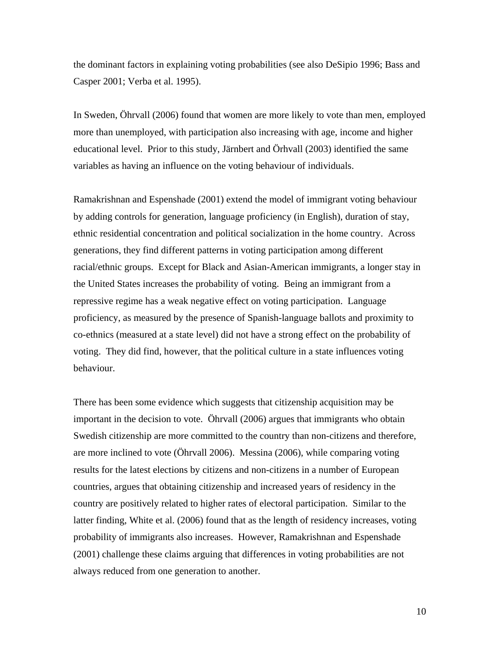the dominant factors in explaining voting probabilities (see also DeSipio 1996; Bass and Casper 2001; Verba et al. 1995).

In Sweden, Öhrvall (2006) found that women are more likely to vote than men, employed more than unemployed, with participation also increasing with age, income and higher educational level. Prior to this study, Järnbert and Örhvall (2003) identified the same variables as having an influence on the voting behaviour of individuals.

Ramakrishnan and Espenshade (2001) extend the model of immigrant voting behaviour by adding controls for generation, language proficiency (in English), duration of stay, ethnic residential concentration and political socialization in the home country. Across generations, they find different patterns in voting participation among different racial/ethnic groups. Except for Black and Asian-American immigrants, a longer stay in the United States increases the probability of voting. Being an immigrant from a repressive regime has a weak negative effect on voting participation. Language proficiency, as measured by the presence of Spanish-language ballots and proximity to co-ethnics (measured at a state level) did not have a strong effect on the probability of voting. They did find, however, that the political culture in a state influences voting behaviour.

There has been some evidence which suggests that citizenship acquisition may be important in the decision to vote. Öhrvall (2006) argues that immigrants who obtain Swedish citizenship are more committed to the country than non-citizens and therefore, are more inclined to vote (Öhrvall 2006). Messina (2006), while comparing voting results for the latest elections by citizens and non-citizens in a number of European countries, argues that obtaining citizenship and increased years of residency in the country are positively related to higher rates of electoral participation. Similar to the latter finding, White et al. (2006) found that as the length of residency increases, voting probability of immigrants also increases. However, Ramakrishnan and Espenshade (2001) challenge these claims arguing that differences in voting probabilities are not always reduced from one generation to another.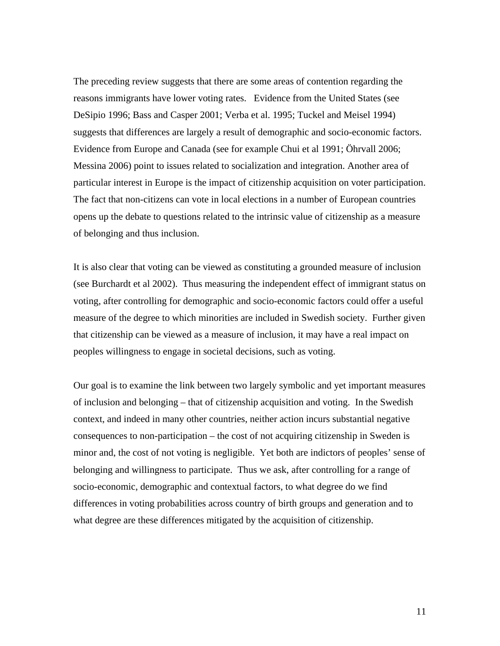The preceding review suggests that there are some areas of contention regarding the reasons immigrants have lower voting rates. Evidence from the United States (see DeSipio 1996; Bass and Casper 2001; Verba et al. 1995; Tuckel and Meisel 1994) suggests that differences are largely a result of demographic and socio-economic factors. Evidence from Europe and Canada (see for example Chui et al 1991; Öhrvall 2006; Messina 2006) point to issues related to socialization and integration. Another area of particular interest in Europe is the impact of citizenship acquisition on voter participation. The fact that non-citizens can vote in local elections in a number of European countries opens up the debate to questions related to the intrinsic value of citizenship as a measure of belonging and thus inclusion.

It is also clear that voting can be viewed as constituting a grounded measure of inclusion (see Burchardt et al 2002). Thus measuring the independent effect of immigrant status on voting, after controlling for demographic and socio-economic factors could offer a useful measure of the degree to which minorities are included in Swedish society. Further given that citizenship can be viewed as a measure of inclusion, it may have a real impact on peoples willingness to engage in societal decisions, such as voting.

Our goal is to examine the link between two largely symbolic and yet important measures of inclusion and belonging – that of citizenship acquisition and voting. In the Swedish context, and indeed in many other countries, neither action incurs substantial negative consequences to non-participation – the cost of not acquiring citizenship in Sweden is minor and, the cost of not voting is negligible. Yet both are indictors of peoples' sense of belonging and willingness to participate. Thus we ask, after controlling for a range of socio-economic, demographic and contextual factors, to what degree do we find differences in voting probabilities across country of birth groups and generation and to what degree are these differences mitigated by the acquisition of citizenship.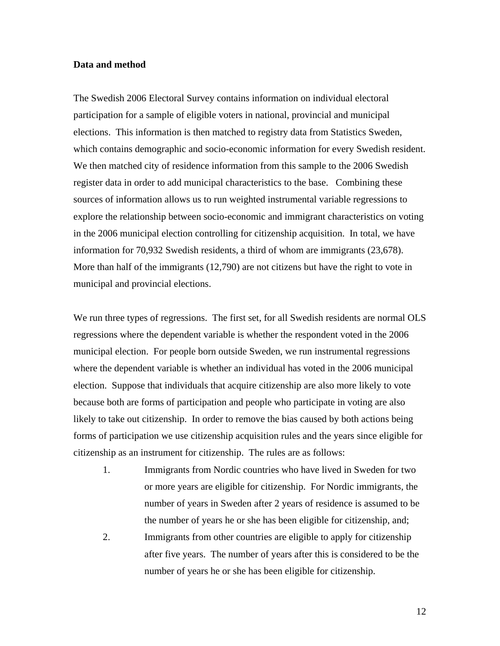# **Data and method**

The Swedish 2006 Electoral Survey contains information on individual electoral participation for a sample of eligible voters in national, provincial and municipal elections. This information is then matched to registry data from Statistics Sweden, which contains demographic and socio-economic information for every Swedish resident. We then matched city of residence information from this sample to the 2006 Swedish register data in order to add municipal characteristics to the base. Combining these sources of information allows us to run weighted instrumental variable regressions to explore the relationship between socio-economic and immigrant characteristics on voting in the 2006 municipal election controlling for citizenship acquisition. In total, we have information for 70,932 Swedish residents, a third of whom are immigrants (23,678). More than half of the immigrants (12,790) are not citizens but have the right to vote in municipal and provincial elections.

We run three types of regressions. The first set, for all Swedish residents are normal OLS regressions where the dependent variable is whether the respondent voted in the 2006 municipal election. For people born outside Sweden, we run instrumental regressions where the dependent variable is whether an individual has voted in the 2006 municipal election. Suppose that individuals that acquire citizenship are also more likely to vote because both are forms of participation and people who participate in voting are also likely to take out citizenship. In order to remove the bias caused by both actions being forms of participation we use citizenship acquisition rules and the years since eligible for citizenship as an instrument for citizenship. The rules are as follows:

- 1. Immigrants from Nordic countries who have lived in Sweden for two or more years are eligible for citizenship. For Nordic immigrants, the number of years in Sweden after 2 years of residence is assumed to be the number of years he or she has been eligible for citizenship, and;
- 2. Immigrants from other countries are eligible to apply for citizenship after five years. The number of years after this is considered to be the number of years he or she has been eligible for citizenship.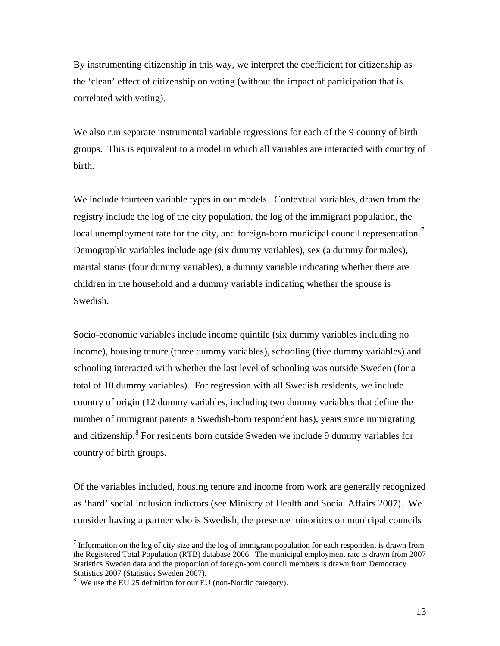By instrumenting citizenship in this way, we interpret the coefficient for citizenship as the 'clean' effect of citizenship on voting (without the impact of participation that is correlated with voting).

We also run separate instrumental variable regressions for each of the 9 country of birth groups. This is equivalent to a model in which all variables are interacted with country of birth.

We include fourteen variable types in our models. Contextual variables, drawn from the registry include the log of the city population, the log of the immigrant population, the local unemployment rate for the city, and foreign-born municipal council representation.<sup>[7](#page-12-0)</sup> Demographic variables include age (six dummy variables), sex (a dummy for males), marital status (four dummy variables), a dummy variable indicating whether there are children in the household and a dummy variable indicating whether the spouse is Swedish.

Socio-economic variables include income quintile (six dummy variables including no income), housing tenure (three dummy variables), schooling (five dummy variables) and schooling interacted with whether the last level of schooling was outside Sweden (for a total of 10 dummy variables). For regression with all Swedish residents, we include country of origin (12 dummy variables, including two dummy variables that define the number of immigrant parents a Swedish-born respondent has), years since immigrating and citizenship.<sup>[8](#page-12-1)</sup> For residents born outside Sweden we include 9 dummy variables for country of birth groups.

Of the variables included, housing tenure and income from work are generally recognized as 'hard' social inclusion indictors (see Ministry of Health and Social Affairs 2007). We consider having a partner who is Swedish, the presence minorities on municipal councils

<span id="page-12-0"></span>Information on the log of city size and the log of immigrant population for each respondent is drawn from the Registered Total Population (RTB) database 2006. The municipal employment rate is drawn from 2007 Statistics Sweden data and the proportion of foreign-born council members is drawn from Democracy Statistics 2007 (Statistics Sweden 2007).

<span id="page-12-1"></span><sup>&</sup>lt;sup>8</sup> We use the EU 25 definition for our EU (non-Nordic category).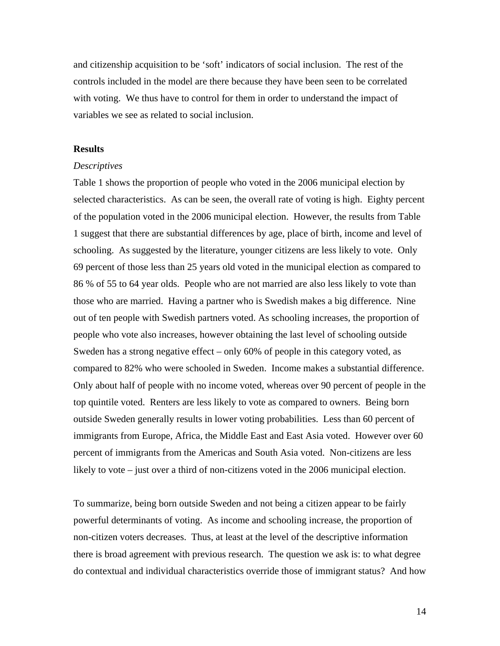and citizenship acquisition to be 'soft' indicators of social inclusion. The rest of the controls included in the model are there because they have been seen to be correlated with voting. We thus have to control for them in order to understand the impact of variables we see as related to social inclusion.

### **Results**

#### *Descriptives*

Table 1 shows the proportion of people who voted in the 2006 municipal election by selected characteristics. As can be seen, the overall rate of voting is high. Eighty percent of the population voted in the 2006 municipal election. However, the results from Table 1 suggest that there are substantial differences by age, place of birth, income and level of schooling. As suggested by the literature, younger citizens are less likely to vote. Only 69 percent of those less than 25 years old voted in the municipal election as compared to 86 % of 55 to 64 year olds. People who are not married are also less likely to vote than those who are married. Having a partner who is Swedish makes a big difference. Nine out of ten people with Swedish partners voted. As schooling increases, the proportion of people who vote also increases, however obtaining the last level of schooling outside Sweden has a strong negative effect – only 60% of people in this category voted, as compared to 82% who were schooled in Sweden. Income makes a substantial difference. Only about half of people with no income voted, whereas over 90 percent of people in the top quintile voted. Renters are less likely to vote as compared to owners. Being born outside Sweden generally results in lower voting probabilities. Less than 60 percent of immigrants from Europe, Africa, the Middle East and East Asia voted. However over 60 percent of immigrants from the Americas and South Asia voted. Non-citizens are less likely to vote – just over a third of non-citizens voted in the 2006 municipal election.

To summarize, being born outside Sweden and not being a citizen appear to be fairly powerful determinants of voting. As income and schooling increase, the proportion of non-citizen voters decreases. Thus, at least at the level of the descriptive information there is broad agreement with previous research. The question we ask is: to what degree do contextual and individual characteristics override those of immigrant status? And how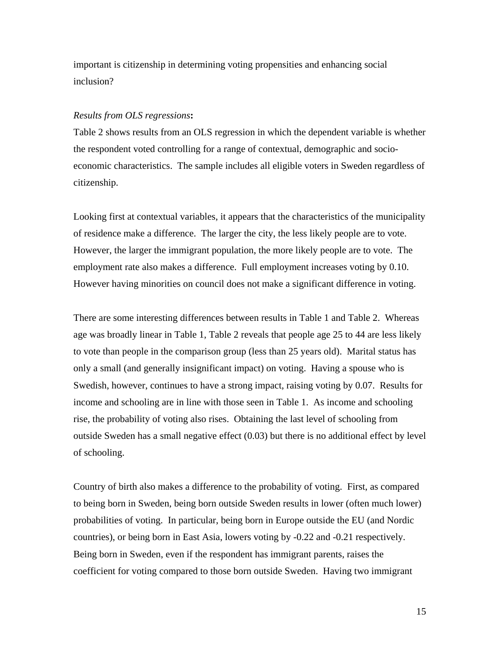important is citizenship in determining voting propensities and enhancing social inclusion?

#### *Results from OLS regressions***:**

Table 2 shows results from an OLS regression in which the dependent variable is whether the respondent voted controlling for a range of contextual, demographic and socioeconomic characteristics. The sample includes all eligible voters in Sweden regardless of citizenship.

Looking first at contextual variables, it appears that the characteristics of the municipality of residence make a difference. The larger the city, the less likely people are to vote. However, the larger the immigrant population, the more likely people are to vote. The employment rate also makes a difference. Full employment increases voting by 0.10. However having minorities on council does not make a significant difference in voting.

There are some interesting differences between results in Table 1 and Table 2. Whereas age was broadly linear in Table 1, Table 2 reveals that people age 25 to 44 are less likely to vote than people in the comparison group (less than 25 years old). Marital status has only a small (and generally insignificant impact) on voting. Having a spouse who is Swedish, however, continues to have a strong impact, raising voting by 0.07. Results for income and schooling are in line with those seen in Table 1. As income and schooling rise, the probability of voting also rises. Obtaining the last level of schooling from outside Sweden has a small negative effect (0.03) but there is no additional effect by level of schooling.

Country of birth also makes a difference to the probability of voting. First, as compared to being born in Sweden, being born outside Sweden results in lower (often much lower) probabilities of voting. In particular, being born in Europe outside the EU (and Nordic countries), or being born in East Asia, lowers voting by -0.22 and -0.21 respectively. Being born in Sweden, even if the respondent has immigrant parents, raises the coefficient for voting compared to those born outside Sweden. Having two immigrant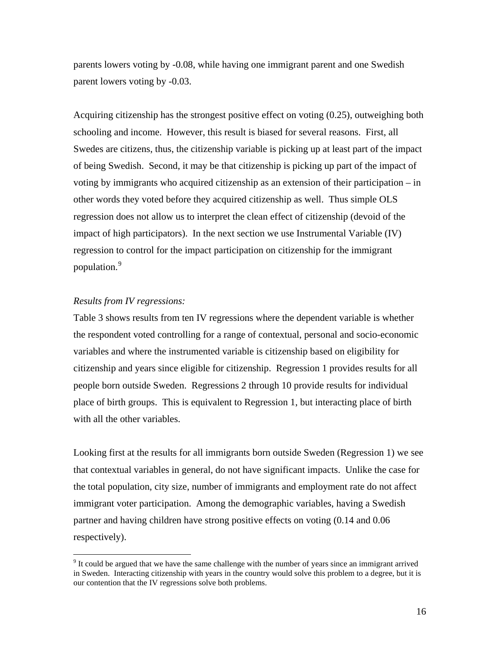parents lowers voting by -0.08, while having one immigrant parent and one Swedish parent lowers voting by -0.03.

Acquiring citizenship has the strongest positive effect on voting (0.25), outweighing both schooling and income. However, this result is biased for several reasons. First, all Swedes are citizens, thus, the citizenship variable is picking up at least part of the impact of being Swedish. Second, it may be that citizenship is picking up part of the impact of voting by immigrants who acquired citizenship as an extension of their participation – in other words they voted before they acquired citizenship as well. Thus simple OLS regression does not allow us to interpret the clean effect of citizenship (devoid of the impact of high participators). In the next section we use Instrumental Variable (IV) regression to control for the impact participation on citizenship for the immigrant population.<sup>[9](#page-15-0)</sup>

# *Results from IV regressions:*

 $\overline{a}$ 

Table 3 shows results from ten IV regressions where the dependent variable is whether the respondent voted controlling for a range of contextual, personal and socio-economic variables and where the instrumented variable is citizenship based on eligibility for citizenship and years since eligible for citizenship. Regression 1 provides results for all people born outside Sweden. Regressions 2 through 10 provide results for individual place of birth groups. This is equivalent to Regression 1, but interacting place of birth with all the other variables.

Looking first at the results for all immigrants born outside Sweden (Regression 1) we see that contextual variables in general, do not have significant impacts. Unlike the case for the total population, city size, number of immigrants and employment rate do not affect immigrant voter participation. Among the demographic variables, having a Swedish partner and having children have strong positive effects on voting (0.14 and 0.06 respectively).

<span id="page-15-0"></span> $9$  It could be argued that we have the same challenge with the number of years since an immigrant arrived in Sweden. Interacting citizenship with years in the country would solve this problem to a degree, but it is our contention that the IV regressions solve both problems.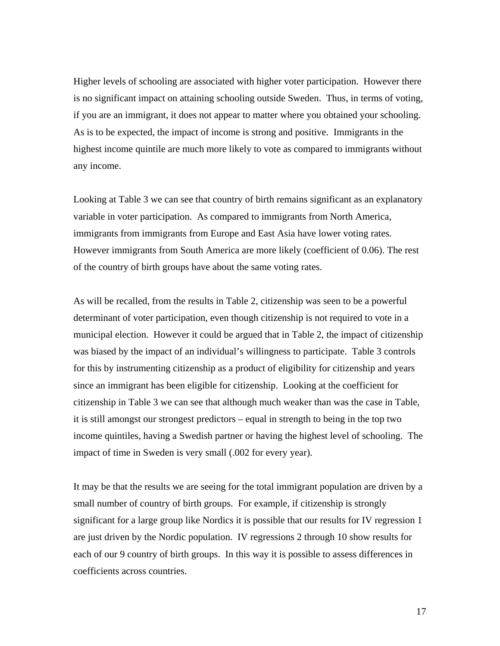Higher levels of schooling are associated with higher voter participation. However there is no significant impact on attaining schooling outside Sweden. Thus, in terms of voting, if you are an immigrant, it does not appear to matter where you obtained your schooling. As is to be expected, the impact of income is strong and positive. Immigrants in the highest income quintile are much more likely to vote as compared to immigrants without any income.

Looking at Table 3 we can see that country of birth remains significant as an explanatory variable in voter participation. As compared to immigrants from North America, immigrants from immigrants from Europe and East Asia have lower voting rates. However immigrants from South America are more likely (coefficient of 0.06). The rest of the country of birth groups have about the same voting rates.

As will be recalled, from the results in Table 2, citizenship was seen to be a powerful determinant of voter participation, even though citizenship is not required to vote in a municipal election. However it could be argued that in Table 2, the impact of citizenship was biased by the impact of an individual's willingness to participate. Table 3 controls for this by instrumenting citizenship as a product of eligibility for citizenship and years since an immigrant has been eligible for citizenship. Looking at the coefficient for citizenship in Table 3 we can see that although much weaker than was the case in Table, it is still amongst our strongest predictors – equal in strength to being in the top two income quintiles, having a Swedish partner or having the highest level of schooling. The impact of time in Sweden is very small (.002 for every year).

It may be that the results we are seeing for the total immigrant population are driven by a small number of country of birth groups. For example, if citizenship is strongly significant for a large group like Nordics it is possible that our results for IV regression 1 are just driven by the Nordic population. IV regressions 2 through 10 show results for each of our 9 country of birth groups. In this way it is possible to assess differences in coefficients across countries.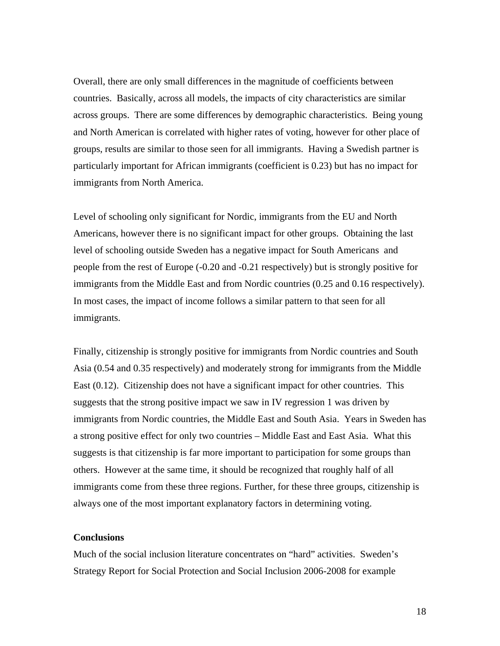Overall, there are only small differences in the magnitude of coefficients between countries. Basically, across all models, the impacts of city characteristics are similar across groups. There are some differences by demographic characteristics. Being young and North American is correlated with higher rates of voting, however for other place of groups, results are similar to those seen for all immigrants. Having a Swedish partner is particularly important for African immigrants (coefficient is 0.23) but has no impact for immigrants from North America.

Level of schooling only significant for Nordic, immigrants from the EU and North Americans, however there is no significant impact for other groups. Obtaining the last level of schooling outside Sweden has a negative impact for South Americans and people from the rest of Europe (-0.20 and -0.21 respectively) but is strongly positive for immigrants from the Middle East and from Nordic countries (0.25 and 0.16 respectively). In most cases, the impact of income follows a similar pattern to that seen for all immigrants.

Finally, citizenship is strongly positive for immigrants from Nordic countries and South Asia (0.54 and 0.35 respectively) and moderately strong for immigrants from the Middle East (0.12). Citizenship does not have a significant impact for other countries. This suggests that the strong positive impact we saw in IV regression 1 was driven by immigrants from Nordic countries, the Middle East and South Asia. Years in Sweden has a strong positive effect for only two countries – Middle East and East Asia. What this suggests is that citizenship is far more important to participation for some groups than others. However at the same time, it should be recognized that roughly half of all immigrants come from these three regions. Further, for these three groups, citizenship is always one of the most important explanatory factors in determining voting.

# **Conclusions**

Much of the social inclusion literature concentrates on "hard" activities. Sweden's Strategy Report for Social Protection and Social Inclusion 2006-2008 for example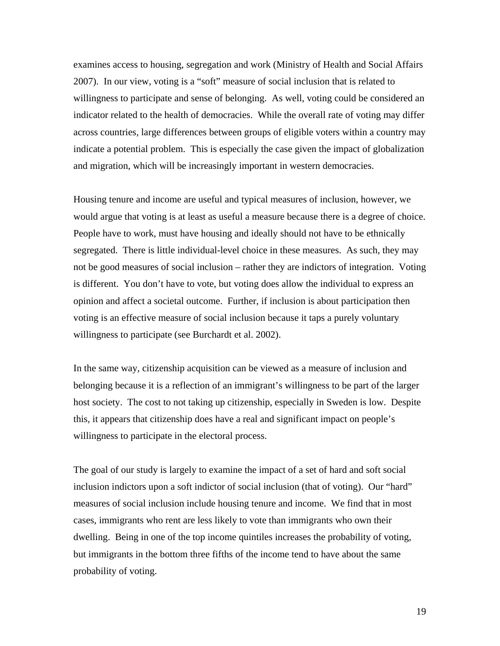examines access to housing, segregation and work (Ministry of Health and Social Affairs 2007). In our view, voting is a "soft" measure of social inclusion that is related to willingness to participate and sense of belonging. As well, voting could be considered an indicator related to the health of democracies. While the overall rate of voting may differ across countries, large differences between groups of eligible voters within a country may indicate a potential problem. This is especially the case given the impact of globalization and migration, which will be increasingly important in western democracies.

Housing tenure and income are useful and typical measures of inclusion, however, we would argue that voting is at least as useful a measure because there is a degree of choice. People have to work, must have housing and ideally should not have to be ethnically segregated. There is little individual-level choice in these measures. As such, they may not be good measures of social inclusion – rather they are indictors of integration. Voting is different. You don't have to vote, but voting does allow the individual to express an opinion and affect a societal outcome. Further, if inclusion is about participation then voting is an effective measure of social inclusion because it taps a purely voluntary willingness to participate (see Burchardt et al. 2002).

In the same way, citizenship acquisition can be viewed as a measure of inclusion and belonging because it is a reflection of an immigrant's willingness to be part of the larger host society. The cost to not taking up citizenship, especially in Sweden is low. Despite this, it appears that citizenship does have a real and significant impact on people's willingness to participate in the electoral process.

The goal of our study is largely to examine the impact of a set of hard and soft social inclusion indictors upon a soft indictor of social inclusion (that of voting). Our "hard" measures of social inclusion include housing tenure and income. We find that in most cases, immigrants who rent are less likely to vote than immigrants who own their dwelling. Being in one of the top income quintiles increases the probability of voting, but immigrants in the bottom three fifths of the income tend to have about the same probability of voting.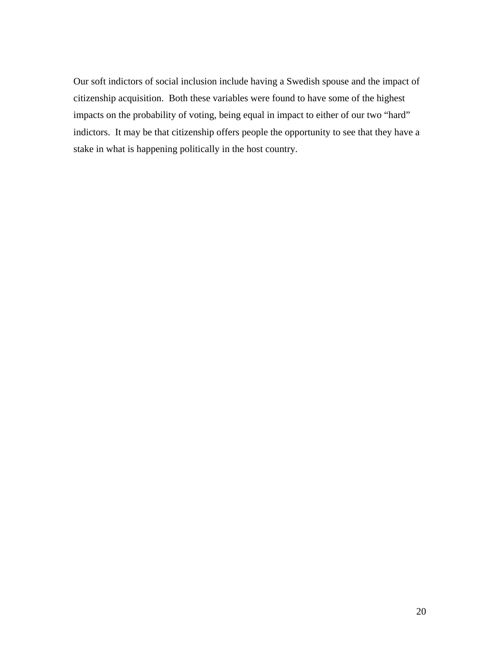Our soft indictors of social inclusion include having a Swedish spouse and the impact of citizenship acquisition. Both these variables were found to have some of the highest impacts on the probability of voting, being equal in impact to either of our two "hard" indictors. It may be that citizenship offers people the opportunity to see that they have a stake in what is happening politically in the host country.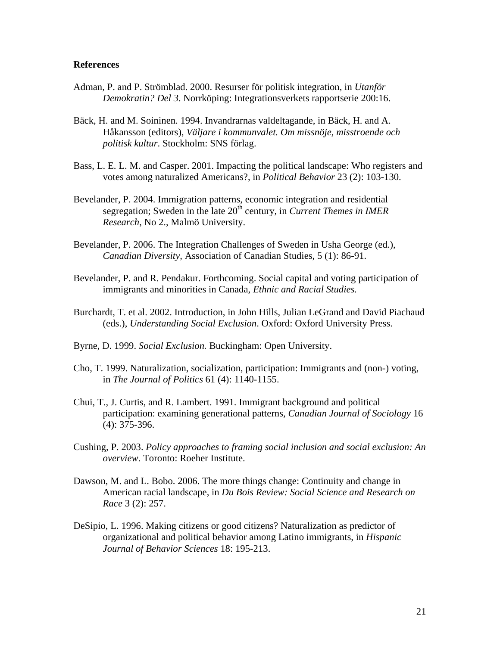# **References**

- Adman, P. and P. Strömblad. 2000. Resurser för politisk integration, in *Utanför Demokratin? Del 3*. Norrköping: Integrationsverkets rapportserie 200:16.
- Bäck, H. and M. Soininen. 1994. Invandrarnas valdeltagande, in Bäck, H. and A. Håkansson (editors), *Väljare i kommunvalet. Om missnöje, misstroende och politisk kultur*. Stockholm: SNS förlag.
- Bass, L. E. L. M. and Casper. 2001. Impacting the political landscape: Who registers and votes among naturalized Americans?, in *Political Behavior* 23 (2): 103-130.
- Bevelander, P. 2004. Immigration patterns, economic integration and residential segregation; Sweden in the late 20<sup>th</sup> century, in *Current Themes in IMER Research*, No 2., Malmö University.
- Bevelander, P. 2006. The Integration Challenges of Sweden in Usha George (ed.), *Canadian Diversity,* Association of Canadian Studies, 5 (1): 86-91.
- Bevelander, P. and R. Pendakur. Forthcoming. Social capital and voting participation of immigrants and minorities in Canada, *Ethnic and Racial Studies.*
- Burchardt, T. et al. 2002. Introduction, in John Hills, Julian LeGrand and David Piachaud (eds.), *Understanding Social Exclusion*. Oxford: Oxford University Press.
- Byrne, D. 1999. *Social Exclusion.* Buckingham: Open University.
- Cho, T. 1999. Naturalization, socialization, participation: Immigrants and (non-) voting, in *The Journal of Politics* 61 (4): 1140-1155.
- Chui, T., J. Curtis, and R. Lambert. 1991. Immigrant background and political participation: examining generational patterns, *Canadian Journal of Sociology* 16 (4): 375-396.
- Cushing, P. 2003. *Policy approaches to framing social inclusion and social exclusion: An overview*. Toronto: Roeher Institute.
- Dawson, M. and L. Bobo. 2006. The more things change: Continuity and change in American racial landscape, in *Du Bois Review: Social Science and Research on Race* 3 (2): 257.
- DeSipio, L. 1996. Making citizens or good citizens? Naturalization as predictor of organizational and political behavior among Latino immigrants, in *Hispanic Journal of Behavior Sciences* 18: 195-213.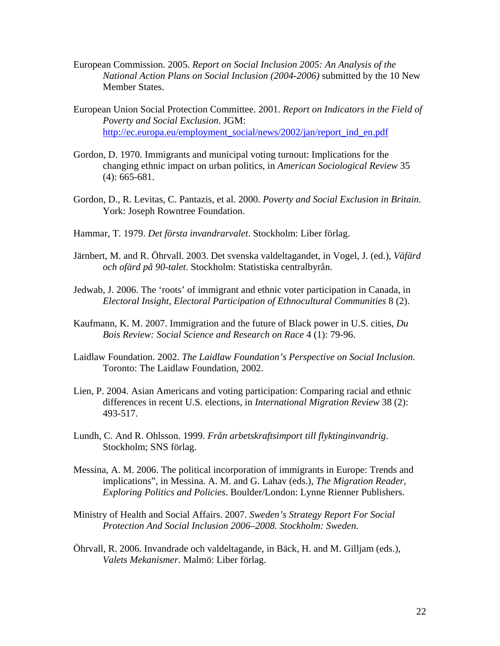- European Commission. 2005*. Report on Social Inclusion 2005: An Analysis of the National Action Plans on Social Inclusion (2004-2006)* submitted by the 10 New Member States.
- European Union Social Protection Committee. 2001. *Report on Indicators in the Field of Poverty and Social Exclusion*. JGM: http://ec.europa.eu/employment\_social/news/2002/jan/report\_ind\_en.pdf
- Gordon, D. 1970. Immigrants and municipal voting turnout: Implications for the changing ethnic impact on urban politics, in *American Sociological Review* 35 (4): 665-681.
- Gordon, D., R. Levitas, C. Pantazis, et al. 2000. *Poverty and Social Exclusion in Britain*. York: Joseph Rowntree Foundation.
- Hammar, T. 1979. *Det första invandrarvalet*. Stockholm: Liber förlag.
- Järnbert, M. and R. Öhrvall. 2003. Det svenska valdeltagandet, in Vogel, J. (ed.), *Väfärd och ofärd på 90-talet*. Stockholm: Statistiska centralbyrån.
- Jedwab, J. 2006. The 'roots' of immigrant and ethnic voter participation in Canada, in *Electoral Insight, Electoral Participation of Ethnocultural Communities* 8 (2).
- Kaufmann, K. M. 2007. Immigration and the future of Black power in U.S. cities, *Du Bois Review: Social Science and Research on Race* 4 (1): 79-96.
- Laidlaw Foundation. 2002. *The Laidlaw Foundation's Perspective on Social Inclusion*. Toronto: The Laidlaw Foundation, 2002.
- Lien, P. 2004. Asian Americans and voting participation: Comparing racial and ethnic differences in recent U.S. elections, in *International Migration Review* 38 (2): 493-517.
- Lundh, C. And R. Ohlsson. 1999. *Från arbetskraftsimport till flyktinginvandrig*. Stockholm; SNS förlag.
- Messina, A. M. 2006. The political incorporation of immigrants in Europe: Trends and implications", in Messina. A. M. and G. Lahav (eds.), *The Migration Reader, Exploring Politics and Policies*. Boulder/London: Lynne Rienner Publishers.
- Ministry of Health and Social Affairs. 2007. *Sweden's Strategy Report For Social Protection And Social Inclusion 2006–2008. Stockholm: Sweden.*
- Öhrvall, R. 2006. Invandrade och valdeltagande, in Bäck, H. and M. Gilljam (eds.), *Valets Mekanismer*. Malmö: Liber förlag.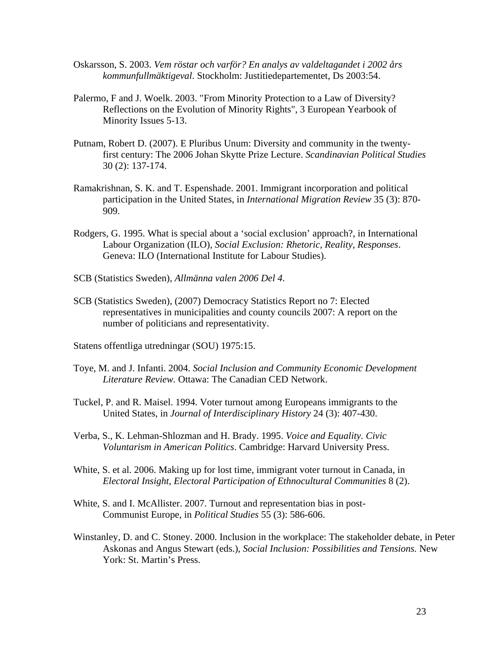- Oskarsson, S. 2003. *Vem röstar och varför? En analys av valdeltagandet i 2002 års kommunfullmäktigeval*. Stockholm: Justitiedepartementet, Ds 2003:54.
- Palermo, F and J. Woelk. 2003. "From Minority Protection to a Law of Diversity? Reflections on the Evolution of Minority Rights", 3 European Yearbook of Minority Issues 5-13.
- Putnam, Robert D. (2007). E Pluribus Unum: Diversity and community in the twentyfirst century: The 2006 Johan Skytte Prize Lecture. *Scandinavian Political Studies* 30 (2): 137-174.
- Ramakrishnan, S. K. and T. Espenshade. 2001. Immigrant incorporation and political participation in the United States, in *International Migration Review* 35 (3): 870- 909.
- Rodgers, G. 1995. What is special about a 'social exclusion' approach?, in International Labour Organization (ILO), *Social Exclusion: Rhetoric, Reality, Responses*. Geneva: ILO (International Institute for Labour Studies).
- SCB (Statistics Sweden), *Allmänna valen 2006 Del 4*.
- SCB (Statistics Sweden), (2007) Democracy Statistics Report no 7: Elected representatives in municipalities and county councils 2007: A report on the number of politicians and representativity.
- Statens offentliga utredningar (SOU) 1975:15.
- Toye, M. and J. Infanti. 2004. *Social Inclusion and Community Economic Development Literature Review.* Ottawa: The Canadian CED Network.
- Tuckel, P. and R. Maisel. 1994. Voter turnout among Europeans immigrants to the United States, in *Journal of Interdisciplinary History* 24 (3): 407-430.
- Verba, S., K. Lehman-Shlozman and H. Brady. 1995. *Voice and Equality. Civic Voluntarism in American Politics*. Cambridge: Harvard University Press.
- White, S. et al. 2006. Making up for lost time, immigrant voter turnout in Canada, in *Electoral Insight, Electoral Participation of Ethnocultural Communities* 8 (2).
- White, S. and I. McAllister. 2007. Turnout and representation bias in post-Communist Europe, in *Political Studies* 55 (3): 586-606.
- Winstanley, D. and C. Stoney. 2000. Inclusion in the workplace: The stakeholder debate, in Peter Askonas and Angus Stewart (eds.), *Social Inclusion: Possibilities and Tensions.* New York: St. Martin's Press.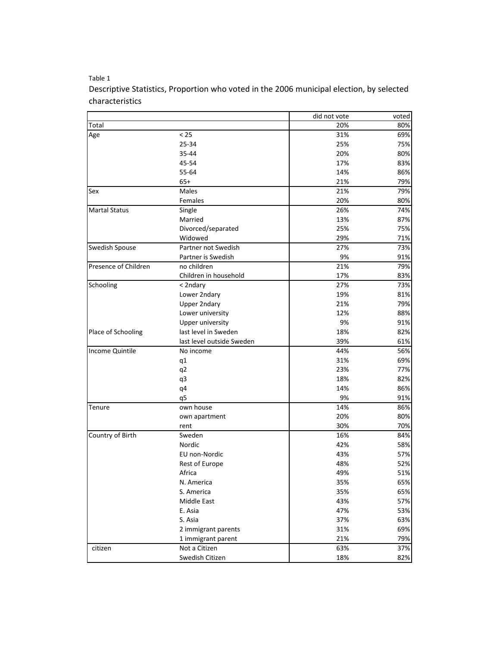### Table 1

Descriptive Statistics, Proportion who voted in the 2006 municipal election, by selected characteristics

|                      |                           | did not vote | voted |
|----------------------|---------------------------|--------------|-------|
| Total                |                           | 20%          | 80%   |
| Age                  | < 25                      | 31%          | 69%   |
|                      | 25-34                     | 25%          | 75%   |
|                      | 35-44                     | 20%          | 80%   |
|                      | 45-54                     | 17%          | 83%   |
|                      | 55-64                     | 14%          | 86%   |
|                      | $65+$                     | 21%          | 79%   |
| Sex                  | Males                     | 21%          | 79%   |
|                      | Females                   | 20%          | 80%   |
| <b>Martal Status</b> | Single                    | 26%          | 74%   |
|                      | Married                   | 13%          | 87%   |
|                      | Divorced/separated        | 25%          | 75%   |
|                      | Widowed                   | 29%          | 71%   |
| Swedish Spouse       | Partner not Swedish       | 27%          | 73%   |
|                      | Partner is Swedish        | 9%           | 91%   |
| Presence of Children | no children               | 21%          | 79%   |
|                      | Children in household     | 17%          | 83%   |
| Schooling            | < 2ndary                  | 27%          | 73%   |
|                      | Lower 2ndary              | 19%          | 81%   |
|                      | <b>Upper 2ndary</b>       | 21%          | 79%   |
|                      | Lower university          | 12%          | 88%   |
|                      | <b>Upper university</b>   | 9%           | 91%   |
| Place of Schooling   | last level in Sweden      | 18%          | 82%   |
|                      | last level outside Sweden | 39%          | 61%   |
| Income Quintile      | No income                 | 44%          | 56%   |
|                      | q1                        | 31%          | 69%   |
|                      | q2                        | 23%          | 77%   |
|                      | q3                        | 18%          | 82%   |
|                      | q4                        | 14%          | 86%   |
|                      | q5                        | 9%           | 91%   |
| Tenure               | own house                 | 14%          | 86%   |
|                      | own apartment             | 20%          | 80%   |
|                      | rent                      | 30%          | 70%   |
| Country of Birth     | Sweden                    | 16%          | 84%   |
|                      | Nordic                    | 42%          | 58%   |
|                      | EU non-Nordic             | 43%          | 57%   |
|                      | Rest of Europe            | 48%          | 52%   |
|                      | Africa                    | 49%          | 51%   |
|                      | N. America                | 35%          | 65%   |
|                      | S. America                | 35%          | 65%   |
|                      | Middle East               | 43%          | 57%   |
|                      | E. Asia                   | 47%          | 53%   |
|                      | S. Asia                   | 37%          | 63%   |
|                      | 2 immigrant parents       | 31%          | 69%   |
|                      | 1 immigrant parent        | 21%          | 79%   |
| citizen              | Not a Citizen             | 63%          | 37%   |
|                      | Swedish Citizen           | 18%          | 82%   |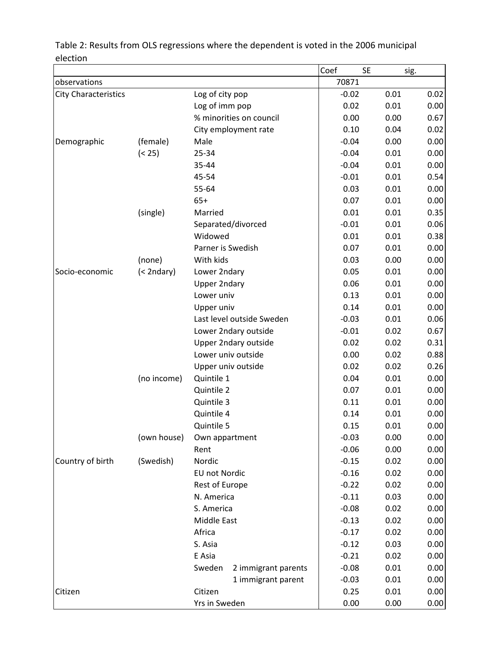| <b>CICCLINII</b>            |             |                     |                           | Coef    | <b>SE</b> | sig. |
|-----------------------------|-------------|---------------------|---------------------------|---------|-----------|------|
| observations                |             |                     |                           | 70871   |           |      |
| <b>City Characteristics</b> |             | Log of city pop     |                           | $-0.02$ | 0.01      | 0.02 |
|                             |             | Log of imm pop      |                           | 0.02    | 0.01      | 0.00 |
|                             |             |                     | % minorities on council   | 0.00    | 0.00      | 0.67 |
|                             |             |                     | City employment rate      | 0.10    | 0.04      | 0.02 |
| Demographic                 | (female)    | Male                |                           | $-0.04$ | 0.00      | 0.00 |
|                             | (< 25)      | 25-34               |                           | $-0.04$ | 0.01      | 0.00 |
|                             |             | 35-44               |                           | $-0.04$ | 0.01      | 0.00 |
|                             |             | 45-54               |                           | $-0.01$ | 0.01      | 0.54 |
|                             |             | 55-64               |                           | 0.03    | 0.01      | 0.00 |
|                             |             | $65+$               |                           | 0.07    | 0.01      | 0.00 |
|                             | (single)    | Married             |                           | 0.01    | 0.01      | 0.35 |
|                             |             |                     | Separated/divorced        | $-0.01$ | 0.01      | 0.06 |
|                             |             | Widowed             |                           | 0.01    | 0.01      | 0.38 |
|                             |             | Parner is Swedish   |                           | 0.07    | 0.01      | 0.00 |
|                             | (none)      | With kids           |                           | 0.03    | 0.00      | 0.00 |
| Socio-economic              | $(2ndary)$  | Lower 2ndary        |                           | 0.05    | 0.01      | 0.00 |
|                             |             | <b>Upper 2ndary</b> |                           | 0.06    | 0.01      | 0.00 |
|                             |             | Lower univ          |                           | 0.13    | 0.01      | 0.00 |
|                             |             | Upper univ          |                           | 0.14    | 0.01      | 0.00 |
|                             |             |                     | Last level outside Sweden | $-0.03$ | 0.01      | 0.06 |
|                             |             |                     | Lower 2ndary outside      | $-0.01$ | 0.02      | 0.67 |
|                             |             |                     | Upper 2ndary outside      | 0.02    | 0.02      | 0.31 |
|                             |             |                     | Lower univ outside        | 0.00    | 0.02      | 0.88 |
|                             |             |                     | Upper univ outside        | 0.02    | 0.02      | 0.26 |
|                             | (no income) | Quintile 1          |                           | 0.04    | 0.01      | 0.00 |
|                             |             | Quintile 2          |                           | 0.07    | 0.01      | 0.00 |
|                             |             | Quintile 3          |                           | 0.11    | 0.01      | 0.00 |
|                             |             | Quintile 4          |                           | 0.14    | 0.01      | 0.00 |
|                             |             | Quintile 5          |                           | 0.15    | 0.01      | 0.00 |
|                             | (own house) | Own appartment      |                           | $-0.03$ | 0.00      | 0.00 |
|                             |             | Rent                |                           | $-0.06$ | 0.00      | 0.00 |
| Country of birth            | (Swedish)   | Nordic              |                           | $-0.15$ | 0.02      | 0.00 |
|                             |             | EU not Nordic       |                           | $-0.16$ | 0.02      | 0.00 |
|                             |             | Rest of Europe      |                           | $-0.22$ | 0.02      | 0.00 |
|                             |             | N. America          |                           | $-0.11$ | 0.03      | 0.00 |
|                             |             | S. America          |                           | $-0.08$ | 0.02      | 0.00 |
| Middle East<br>Africa       |             |                     |                           | $-0.13$ | 0.02      | 0.00 |
|                             |             |                     |                           | $-0.17$ | 0.02      | 0.00 |
|                             |             | S. Asia             |                           | $-0.12$ | 0.03      | 0.00 |
|                             |             | E Asia              |                           | $-0.21$ | 0.02      | 0.00 |
|                             |             | Sweden              | 2 immigrant parents       | $-0.08$ | 0.01      | 0.00 |
|                             |             |                     | 1 immigrant parent        | $-0.03$ | 0.01      | 0.00 |
| Citizen                     |             | Citizen             |                           | 0.25    | 0.01      | 0.00 |
|                             |             | Yrs in Sweden       |                           | 0.00    | 0.00      | 0.00 |

Table 2: Results from OLS regressions where the dependent is voted in the 2006 municipal election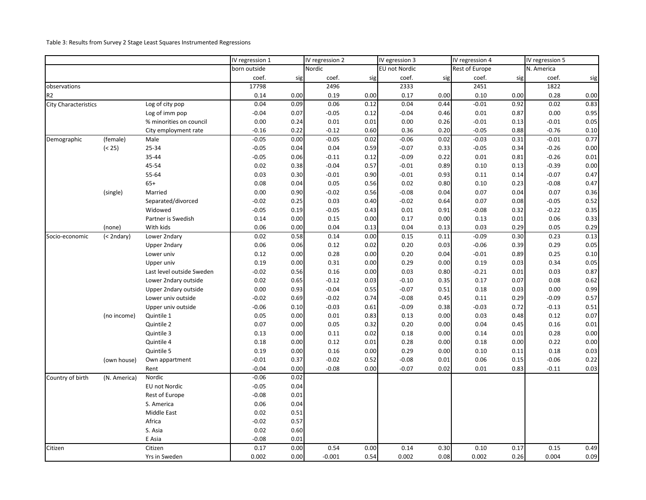Table 3: Results from Survey 2 Stage Least Squares Instrumented Regressions

|                                                |              |                           | IV regression 1 |      | IV regression 2 |      | IV egression 3 |         | IV regression 4 |      | IV regression 5 |          |
|------------------------------------------------|--------------|---------------------------|-----------------|------|-----------------|------|----------------|---------|-----------------|------|-----------------|----------|
|                                                |              |                           | born outside    |      | Nordic          |      | EU not Nordic  |         | Rest of Europe  |      | N. America      |          |
|                                                |              |                           | coef.           | sig  | coef.           | sig  | coef.          | sig     | coef.           | sig  | coef.           | sig      |
| observations                                   |              | 17798                     |                 | 2496 |                 | 2333 |                | 2451    |                 | 1822 |                 |          |
| R2                                             |              |                           | 0.14            | 0.00 | 0.19            | 0.00 | 0.17           | 0.00    | 0.10            | 0.00 | 0.28            | 0.00     |
| Log of city pop<br><b>City Characteristics</b> |              | 0.04                      | 0.09            | 0.06 | 0.12            | 0.04 | 0.44           | $-0.01$ | 0.92            | 0.02 | 0.83            |          |
|                                                |              | Log of imm pop            | $-0.04$         | 0.07 | $-0.05$         | 0.12 | $-0.04$        | 0.46    | 0.01            | 0.87 | 0.00            | 0.95     |
|                                                |              | % minorities on council   | 0.00            | 0.24 | 0.01            | 0.01 | 0.00           | 0.26    | $-0.01$         | 0.13 | $-0.01$         | 0.05     |
|                                                |              | City employment rate      | $-0.16$         | 0.22 | $-0.12$         | 0.60 | 0.36           | 0.20    | $-0.05$         | 0.88 | $-0.76$         | 0.10     |
| Demographic                                    | (female)     | Male                      | $-0.05$         | 0.00 | $-0.05$         | 0.02 | $-0.06$        | 0.02    | $-0.03$         | 0.31 | $-0.01$         | 0.77     |
|                                                | (< 25)       | 25-34                     | $-0.05$         | 0.04 | 0.04            | 0.59 | $-0.07$        | 0.33    | $-0.05$         | 0.34 | $-0.26$         | 0.00     |
|                                                |              | 35-44                     | $-0.05$         | 0.06 | $-0.11$         | 0.12 | $-0.09$        | 0.22    | 0.01            | 0.81 | $-0.26$         | 0.01     |
|                                                |              | 45-54                     | 0.02            | 0.38 | $-0.04$         | 0.57 | $-0.01$        | 0.89    | 0.10            | 0.13 | $-0.39$         | $0.00\,$ |
|                                                |              | 55-64                     | 0.03            | 0.30 | $-0.01$         | 0.90 | $-0.01$        | 0.93    | 0.11            | 0.14 | $-0.07$         | 0.47     |
|                                                |              | $65+$                     | 0.08            | 0.04 | 0.05            | 0.56 | 0.02           | 0.80    | 0.10            | 0.23 | $-0.08$         | 0.47     |
|                                                | (single)     | Married                   | 0.00            | 0.90 | $-0.02$         | 0.56 | $-0.08$        | 0.04    | 0.07            | 0.04 | 0.07            | 0.36     |
|                                                |              | Separated/divorced        | $-0.02$         | 0.25 | 0.03            | 0.40 | $-0.02$        | 0.64    | 0.07            | 0.08 | $-0.05$         | 0.52     |
|                                                |              | Widowed                   | $-0.05$         | 0.19 | $-0.05$         | 0.43 | 0.01           | 0.91    | $-0.08$         | 0.32 | $-0.22$         | 0.35     |
|                                                |              | Partner is Swedish        | 0.14            | 0.00 | 0.15            | 0.00 | 0.17           | 0.00    | 0.13            | 0.01 | 0.06            | 0.33     |
|                                                | (none)       | With kids                 | 0.06            | 0.00 | 0.04            | 0.13 | 0.04           | 0.13    | 0.03            | 0.29 | 0.05            | 0.29     |
| Socio-economic                                 | $(2ndary)$   | Lower 2ndary              | 0.02            | 0.58 | 0.14            | 0.00 | 0.15           | 0.11    | $-0.09$         | 0.30 | 0.23            | 0.13     |
|                                                |              | <b>Upper 2ndary</b>       | 0.06            | 0.06 | 0.12            | 0.02 | 0.20           | 0.03    | $-0.06$         | 0.39 | 0.29            | 0.05     |
|                                                |              | Lower univ                | 0.12            | 0.00 | 0.28            | 0.00 | 0.20           | 0.04    | $-0.01$         | 0.89 | 0.25            | $0.10\,$ |
|                                                |              | Upper univ                | 0.19            | 0.00 | 0.31            | 0.00 | 0.29           | 0.00    | 0.19            | 0.03 | 0.34            | 0.05     |
|                                                |              | Last level outside Sweden | $-0.02$         | 0.56 | 0.16            | 0.00 | 0.03           | 0.80    | $-0.21$         | 0.01 | 0.03            | 0.87     |
|                                                |              | Lower 2ndary outside      | 0.02            | 0.65 | $-0.12$         | 0.03 | $-0.10$        | 0.35    | 0.17            | 0.07 | 0.08            | 0.62     |
|                                                |              | Upper 2ndary outside      | 0.00            | 0.93 | $-0.04$         | 0.55 | $-0.07$        | 0.51    | 0.18            | 0.03 | 0.00            | 0.99     |
|                                                |              | Lower univ outside        | $-0.02$         | 0.69 | $-0.02$         | 0.74 | $-0.08$        | 0.45    | 0.11            | 0.29 | $-0.09$         | 0.57     |
|                                                |              | Upper univ outside        | $-0.06$         | 0.10 | $-0.03$         | 0.61 | $-0.09$        | 0.38    | $-0.03$         | 0.72 | $-0.13$         | 0.51     |
|                                                | (no income)  | Quintile 1                | 0.05            | 0.00 | 0.01            | 0.83 | 0.13           | 0.00    | 0.03            | 0.48 | 0.12            | 0.07     |
|                                                |              | Quintile 2                | 0.07            | 0.00 | 0.05            | 0.32 | 0.20           | 0.00    | 0.04            | 0.45 | 0.16            | 0.01     |
|                                                |              | Quintile 3                | 0.13            | 0.00 | 0.11            | 0.02 | 0.18           | 0.00    | 0.14            | 0.01 | 0.28            | 0.00     |
|                                                |              | Quintile 4                | 0.18            | 0.00 | 0.12            | 0.01 | 0.28           | 0.00    | 0.18            | 0.00 | 0.22            | 0.00     |
|                                                |              | Quintile 5                | 0.19            | 0.00 | 0.16            | 0.00 | 0.29           | 0.00    | 0.10            | 0.11 | 0.18            | 0.03     |
|                                                | (own house)  | Own appartment            | $-0.01$         | 0.37 | $-0.02$         | 0.52 | $-0.08$        | 0.01    | 0.06            | 0.15 | $-0.06$         | 0.22     |
|                                                |              | Rent                      | $-0.04$         | 0.00 | $-0.08$         | 0.00 | $-0.07$        | 0.02    | 0.01            | 0.83 | $-0.11$         | 0.03     |
| Country of birth                               | (N. America) | Nordic                    | $-0.06$         | 0.02 |                 |      |                |         |                 |      |                 |          |
|                                                |              | EU not Nordic             | $-0.05$         | 0.04 |                 |      |                |         |                 |      |                 |          |
|                                                |              | Rest of Europe            | $-0.08$         | 0.01 |                 |      |                |         |                 |      |                 |          |
|                                                |              | S. America                | 0.06            | 0.04 |                 |      |                |         |                 |      |                 |          |
|                                                |              | <b>Middle East</b>        | 0.02            | 0.51 |                 |      |                |         |                 |      |                 |          |
|                                                |              | Africa                    | $-0.02$         | 0.57 |                 |      |                |         |                 |      |                 |          |
|                                                |              | S. Asia                   | 0.02            | 0.60 |                 |      |                |         |                 |      |                 |          |
|                                                |              | E Asia                    | $-0.08$         | 0.01 |                 |      |                |         |                 |      |                 |          |
| Citizen                                        |              | Citizen                   | 0.17            | 0.00 | 0.54            | 0.00 | 0.14           | 0.30    | 0.10            | 0.17 | 0.15            | 0.49     |
|                                                |              | Yrs in Sweden             | 0.002           | 0.00 | $-0.001$        | 0.54 | 0.002          | 0.08    | 0.002           | 0.26 | 0.004           | 0.09     |